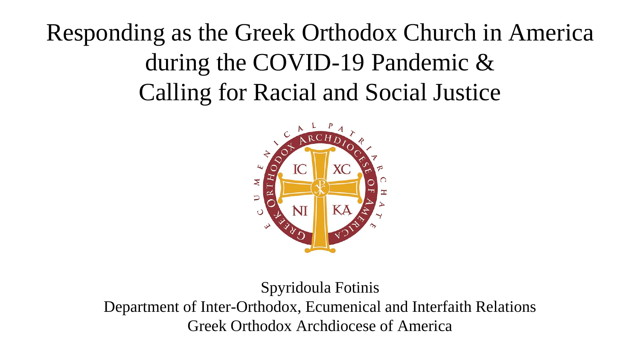Responding as the Greek Orthodox Church in America during the COVID-19 Pandemic & Calling for Racial and Social Justice



Spyridoula Fotinis Department of Inter-Orthodox, Ecumenical and Interfaith Relations Greek Orthodox Archdiocese of America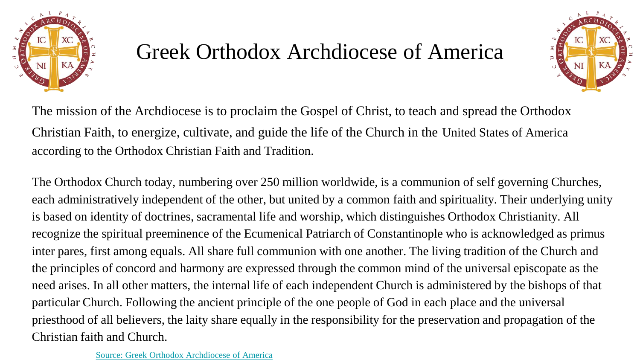

## Greek Orthodox Archdiocese of America



The mission of the Archdiocese is to proclaim the Gospel of Christ, to teach and spread the Orthodox Christian Faith, to energize, cultivate, and guide the life of the Church in the United States of America according to the Orthodox Christian Faith and Tradition.

The Orthodox Church today, numbering over 250 million worldwide, is a communion of self governing Churches, each administratively independent of the other, but united by a common faith and spirituality. Their underlying unity is based on identity of doctrines, sacramental life and worship, which distinguishes Orthodox Christianity. All recognize the spiritual preeminence of the Ecumenical Patriarch of Constantinople who is acknowledged as primus inter pares, first among equals. All share full communion with one another. The living tradition of the Church and the principles of concord and harmony are expressed through the common mind of the universal episcopate as the need arises. In all other matters, the internal life of each independent Church is administered by the bishops of that particular Church. Following the ancient principle of the one people of God in each place and the universal priesthood of all believers, the laity share equally in the responsibility for the preservation and propagation of the Christian faith and Church.

[Source: Greek Orthodox Archdiocese of America](https://www.goarch.org/about)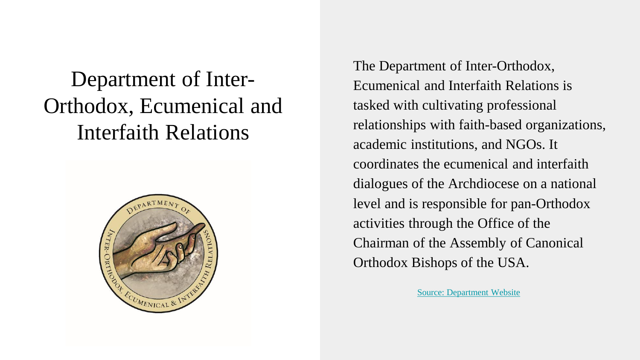# Department of Inter-Orthodox, Ecumenical and Interfaith Relations



The Department of Inter-Orthodox, Ecumenical and Interfaith Relations is tasked with cultivating professional relationships with faith-based organizations, academic institutions, and NGOs. It coordinates the ecumenical and interfaith dialogues of the Archdiocese on a national level and is responsible for pan-Orthodox activities through the Office of the Chairman of the Assembly of Canonical Orthodox Bishops of the USA.

[Source: Department Website](https://www.goarch.org/departments/ecumenical)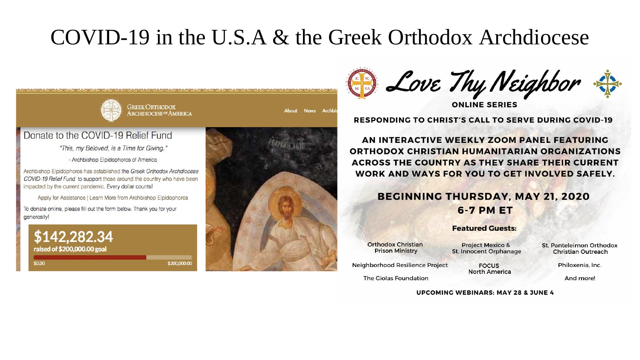### COVID-19 in the U.S.A & the Greek Orthodox Archdiocese



D Love Thy Neighbor

**ONLINE SERIES** 

**RESPONDING TO CHRIST'S CALL TO SERVE DURING COVID-19** 

AN INTERACTIVE WEEKLY ZOOM PANEL FEATURING **ORTHODOX CHRISTIAN HUMANITARIAN ORGANIZATIONS ACROSS THE COUNTRY AS THEY SHARE THEIR CURRENT** WORK AND WAYS FOR YOU TO GET INVOLVED SAFELY.

#### **BEGINNING THURSDAY, MAY 21, 2020 6-7 PM ET**

#### **Featured Guests:**

**Orthodox Christian Prison Ministry** 

**Project Mexico &** St. Innocent Orphanage **FOCUS** 

**North America** 

St. Panteleimon Orthodox **Christian Outreach** 

Philoxenia, Inc.

And more!

The Giolas Foundation

**UPCOMING WEBINARS: MAY 28 & JUNE 4**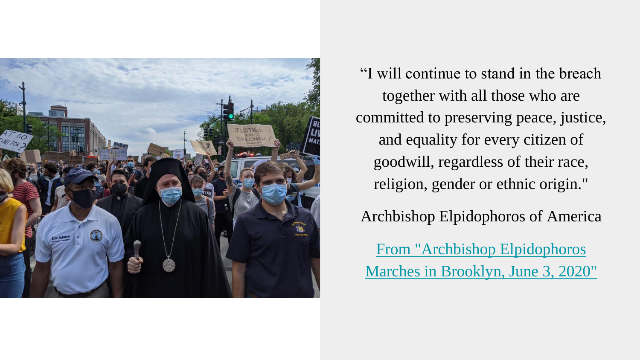

"I will continue to stand in the breach together with all those who are committed to preserving peace, justice, and equality for every citizen of goodwill, regardless of their race, religion, gender or ethnic origin."

Archbishop Elpidophoros of America

From "Archbishop Elpidophoros [Marches in Brooklyn, June 3, 2020"](https://www.goarch.org/-/archbishop-elpidophoros-marches-brooklyn)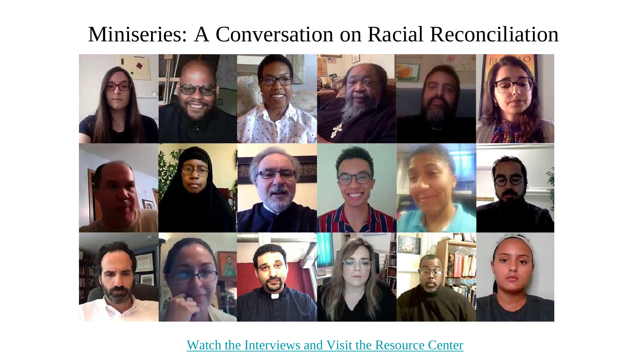### Miniseries: A Conversation on Racial Reconciliation



[Watch the Interviews and Visit the Resource Center](https://www.goarch.org/society/racial-reconciliation)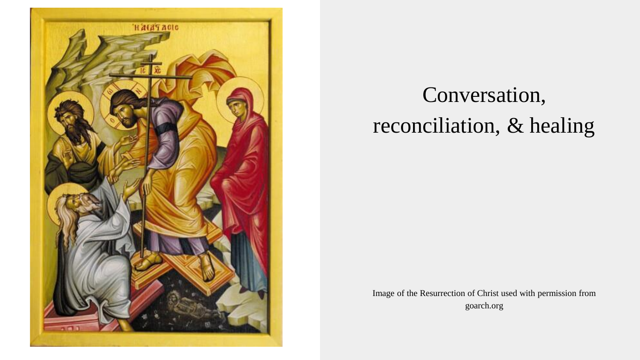

# Conversation, reconciliation, & healing

Image of the Resurrection of Christ used with permission from goarch.org